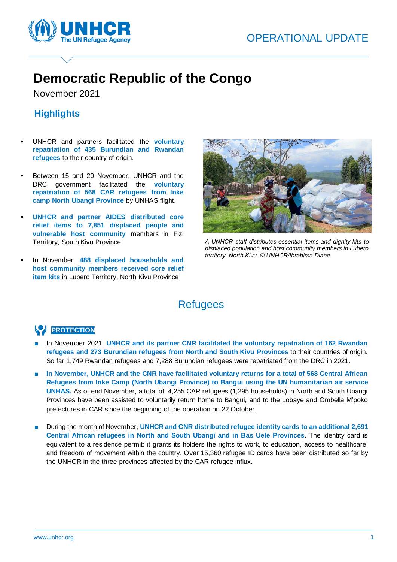# OPERATIONAL UPDATE



# **Democratic Republic of the Congo**

November 2021

Í

### **Highlights**

- UNHCR and partners facilitated the **voluntary repatriation of 435 Burundian and Rwandan refugees** to their country of origin.
- Between 15 and 20 November, UNHCR and the DRC government facilitated the **voluntary repatriation of 568 CAR refugees from Inke camp North Ubangi Province** by UNHAS flight.
- **UNHCR** and partner AIDES distributed core **relief items to 7,851 displaced people and vulnerable host community** members in Fizi Territory, South Kivu Province.
- In November, 488 displaced households and **host community members received core relief item kits** in Lubero Territory, North Kivu Province



*A UNHCR staff distributes essential items and dignity kits to displaced population and host community members in Lubero territory, North Kivu. © UNHCR/Ibrahima Diane.*

## **Refugees**

### **PROTECTION**

- In November 2021, UNHCR and its partner CNR facilitated the voluntary repatriation of 162 Rwandan **refugees and 273 Burundian refugees from North and South Kivu Provinces** to their countries of origin. So far 1,749 Rwandan refugees and 7,288 Burundian refugees were repatriated from the DRC in 2021.
- **In November, UNHCR and the CNR have facilitated voluntary returns for a total of 568 Central African Refugees from Inke Camp (North Ubangi Province) to Bangui using the UN humanitarian air service UNHAS.** As of end November, a total of 4,255 CAR refugees (1,295 households) in North and South Ubangi Provinces have been assisted to voluntarily return home to Bangui, and to the Lobaye and Ombella M'poko prefectures in CAR since the beginning of the operation on 22 October.
- During the month of November, **UNHCR and CNR distributed refugee identity cards to an additional 2,691 Central African refugees in North and South Ubangi and in Bas Uele Provinces**. The identity card is equivalent to a residence permit: it grants its holders the rights to work, to education, access to healthcare, and freedom of movement within the country. Over 15,360 refugee ID cards have been distributed so far by the UNHCR in the three provinces affected by the CAR refugee influx.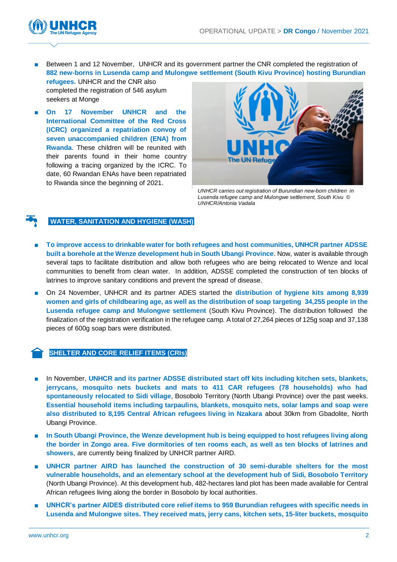

Between 1 and 12 November, UNHCR and its government partner the CNR completed the registration of **882 new-borns in Lusenda camp and Mulongwe settlement (South Kivu Province) hosting Burundian refugees.** UNHCR and the CNR also

completed the registration of 546 asylum seekers at Monge

■ **On 17 November UNHCR and the International Committee of the Red Cross (ICRC) organized a repatriation convoy of seven unaccompanied children (ENA) from Rwanda**. These children will be reunited with their parents found in their home country following a tracing organized by the ICRC. To date, 60 Rwandan ENAs have been repatriated to Rwanda since the beginning of 2021.



*UNHCR carries out registration of Burundian new-born children in Lusenda refugee camp and Mulongwe settlement, South Kivu © UNHCR/Antonia Vadala*

#### **WATER, SANITATION AND HYGIENE (WASH)**

- **To improve access to drinkable water for both refugees and host communities, UNHCR partner ADSSE built a borehole at the Wenze development hub in South Ubangi Province**. Now, water is available through several taps to facilitate distribution and allow both refugees who are being relocated to Wenze and local communities to benefit from clean water. In addition, ADSSE completed the construction of ten blocks of latrines to improve sanitary conditions and prevent the spread of disease.
- On 24 November, UNHCR and its partner ADES started the **distribution of hygiene kits among 8,939 women and girls of childbearing age, as well as the distribution of soap targeting 34,255 people in the Lusenda refugee camp and Mulongwe settlement** (South Kivu Province). The distribution followed the finalization of the registration verification in the refugee camp. A total of 27,264 pieces of 125g soap and 37,138 pieces of 600g soap bars were distributed.

### **SHELTER AND CORE RELIEF ITEMS (CRIs)**

- In November, **UNHCR and its partner ADSSE distributed start off kits including kitchen sets, blankets, jerrycans, mosquito nets buckets and mats to 411 CAR refugees (78 households) who had spontaneously relocated to Sidi village**, Bosobolo Territory (North Ubangi Province) over the past weeks. **Essential household items including tarpaulins, blankets, mosquito nets, solar lamps and soap were also distributed to 8,195 Central African refugees living in Nzakara** about 30km from Gbadolite, North Ubangi Province.
- **In South Ubangi Province, the Wenze development hub is being equipped to host refugees living along the border in Zongo area. Five dormitories of ten rooms each, as well as ten blocks of latrines and showers**, are currently being finalized by UNHCR partner AIRD.
- **UNHCR** partner AIRD has launched the construction of 30 semi-durable shelters for the most **vulnerable households, and an elementary school at the development hub of Sidi, Bosobolo Territory** (North Ubangi Province). At this development hub, 482-hectares land plot has been made available for Central African refugees living along the border in Bosobolo by local authorities.
- **UNHCR's partner AIDES distributed core relief items to 959 Burundian refugees with specific needs in Lusenda and Mulongwe sites. They received mats, jerry cans, kitchen sets, 15-liter buckets, mosquito**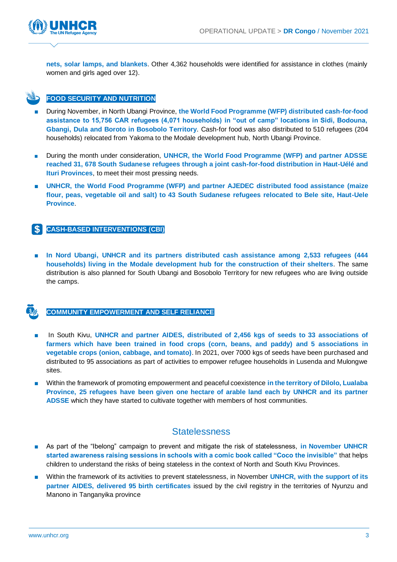

**nets, solar lamps, and blankets**. Other 4,362 households were identified for assistance in clothes (mainly women and girls aged over 12).

### **FOOD SECURITY AND NUTRITION**

- During November, in North Ubangi Province, the World Food Programme (WFP) distributed cash-for-food **assistance to 15,756 CAR refugees (4,071 households) in "out of camp" locations in Sidi, Bodouna, Gbangi, Dula and Boroto in Bosobolo Territory**. Cash-for food was also distributed to 510 refugees (204 households) relocated from Yakoma to the Modale development hub, North Ubangi Province.
- During the month under consideration, **UNHCR, the World Food Programme (WFP) and partner ADSSE reached 31, 678 South Sudanese refugees through a joint cash-for-food distribution in Haut-Uélé and Ituri Provinces**, to meet their most pressing needs.
- **UNHCR, the World Food Programme (WFP) and partner AJEDEC distributed food assistance (maize flour, peas, vegetable oil and salt) to 43 South Sudanese refugees relocated to Bele site, Haut-Uele Province**.

### **CASH-BASED INTERVENTIONS (CBI)**

■ In Nord Ubangi, UNHCR and its partners distributed cash assistance among 2,533 refugees (444 **households) living in the Modale development hub for the construction of their shelters**. The same distribution is also planned for South Ubangi and Bosobolo Territory for new refugees who are living outside the camps.

### **COMMUNITY EMPOWERMENT AND SELF RELIANCE**

- In South Kivu, UNHCR and partner AIDES, distributed of 2,456 kgs of seeds to 33 associations of **farmers which have been trained in food crops (corn, beans, and paddy) and 5 associations in vegetable crops (onion, cabbage, and tomato)**. In 2021, over 7000 kgs of seeds have been purchased and distributed to 95 associations as part of activities to empower refugee households in Lusenda and Mulongwe sites.
- Within the framework of promoting empowerment and peaceful coexistence **in the territory of Dilolo, Lualaba Province, 25 refugees have been given one hectare of arable land each by UNHCR and its partner ADSSE** which they have started to cultivate together with members of host communities.

### **Statelessness**

- As part of the "Ibelong" campaign to prevent and mitigate the risk of statelessness, **in November UNHCR started awareness raising sessions in schools with a comic book called "Coco the invisible"** that helps children to understand the risks of being stateless in the context of North and South Kivu Provinces.
- Within the framework of its activities to prevent statelessness, in November UNHCR, with the support of its **partner AIDES, delivered 95 birth certificates** issued by the civil registry in the territories of Nyunzu and Manono in Tanganyika province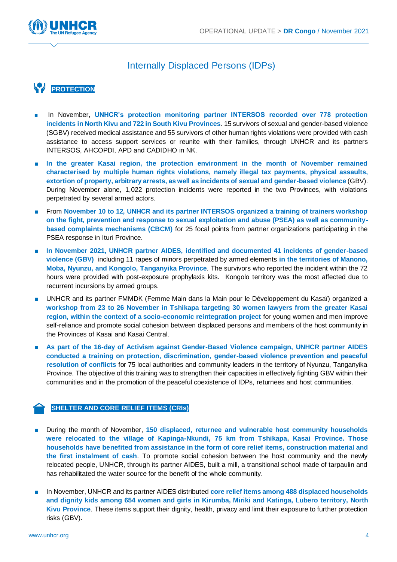

### Internally Displaced Persons (IDPs)

# **PROTECTION**

- In November, **UNHCR's protection monitoring partner INTERSOS recorded over 778 protection incidents in North Kivu and 722 in South Kivu Provinces**. 15 survivors of sexual and gender-based violence (SGBV) received medical assistance and 55 survivors of other human rights violations were provided with cash assistance to access support services or reunite with their families, through UNHCR and its partners INTERSOS, AHCOPDI, APD and CADIDHO in NK.
- **In the greater Kasai region, the protection environment in the month of November remained characterised by multiple human rights violations, namely illegal tax payments, physical assaults, extortion of property, arbitrary arrests, as well as incidents of sexual and gender-based violence**(GBV). During November alone, 1,022 protection incidents were reported in the two Provinces, with violations perpetrated by several armed actors.
- From November 10 to 12, UNHCR and its partner INTERSOS organized a training of trainers workshop **on the fight, prevention and response to sexual exploitation and abuse (PSEA) as well as communitybased complaints mechanisms (CBCM)** for 25 focal points from partner organizations participating in the PSEA response in Ituri Province.
- **In November 2021, UNHCR partner AIDES, identified and documented 41 incidents of gender-based violence (GBV)** including 11 rapes of minors perpetrated by armed elements **in the territories of Manono, Moba, Nyunzu, and Kongolo, Tanganyika Province**. The survivors who reported the incident within the 72 hours were provided with post-exposure prophylaxis kits. Kongolo territory was the most affected due to recurrent incursions by armed groups.
- UNHCR and its partner FMMDK (Femme Main dans la Main pour le Développement du Kasaï) organized a **workshop from 23 to 26 November in Tshikapa targeting 30 women lawyers from the greater Kasai region, within the context of a socio-economic reintegration project** for young women and men improve self-reliance and promote social cohesion between displaced persons and members of the host community in the Provinces of Kasai and Kasai Central.
- **As part of the 16-day of Activism against Gender-Based Violence campaign, UNHCR partner AIDES conducted a training on protection, discrimination, gender-based violence prevention and peaceful resolution of conflicts** for 75 local authorities and community leaders in the territory of Nyunzu, Tanganyika Province. The objective of this training was to strengthen their capacities in effectively fighting GBV within their communities and in the promotion of the peaceful coexistence of IDPs, returnees and host communities.

### **SHELTER AND CORE RELIEF ITEMS (CRIs)**

- During the month of November, 150 displaced, returnee and vulnerable host community households **were relocated to the village of Kapinga-Nkundi, 75 km from Tshikapa, Kasai Province. Those households have benefited from assistance in the form of core relief items, construction material and the first instalment of cash**. To promote social cohesion between the host community and the newly relocated people, UNHCR, through its partner AIDES, built a mill, a transitional school made of tarpaulin and has rehabilitated the water source for the benefit of the whole community.
- In November, UNHCR and its partner AIDES distributed core relief items among 488 displaced households **and dignity kids among 654 women and girls in Kirumba, Miriki and Katinga, Lubero territory, North Kivu Province**. These items support their dignity, health, privacy and limit their exposure to further protection risks (GBV).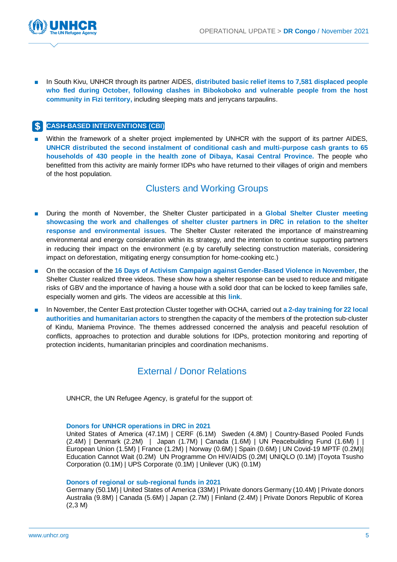

In South Kivu, UNHCR through its partner AIDES, distributed basic relief items to 7,581 displaced people **who fled during October, following clashes in Bibokoboko and vulnerable people from the host community in Fizi territory,** including sleeping mats and jerrycans tarpaulins.

### **CASH-BASED INTERVENTIONS (CBI)**

Within the framework of a shelter project implemented by UNHCR with the support of its partner AIDES, **UNHCR distributed the second instalment of conditional cash and multi-purpose cash grants to 65 households of 430 people in the health zone of Dibaya, Kasai Central Province.** The people who benefitted from this activity are mainly former IDPs who have returned to their villages of origin and members of the host population.

### Clusters and Working Groups

- During the month of November, the Shelter Cluster participated in a Global Shelter Cluster meeting **showcasing the work and challenges of shelter cluster partners in DRC in relation to the shelter response and environmental issues**. The Shelter Cluster reiterated the importance of mainstreaming environmental and energy consideration within its strategy, and the intention to continue supporting partners in reducing their impact on the environment (e.g by carefully selecting construction materials, considering impact on deforestation, mitigating energy consumption for home-cooking etc.)
- On the occasion of the 16 Days of Activism Campaign against Gender-Based Violence in November, the Shelter Cluster realized three videos. These show how a shelter response can be used to reduce and mitigate risks of GBV and the importance of having a house with a solid door that can be locked to keep families safe, especially women and girls. The videos are accessible at this **[link](https://www.youtube.com/watch?v=nAmouPsOjLE)**.
- In November, the Center East protection Cluster together with OCHA, carried out **a 2-day training for 22 local authorities and humanitarian actors** to strengthen the capacity of the members of the protection sub-cluster of Kindu, Maniema Province. The themes addressed concerned the analysis and peaceful resolution of conflicts, approaches to protection and durable solutions for IDPs, protection monitoring and reporting of protection incidents, humanitarian principles and coordination mechanisms.

### External / Donor Relations

UNHCR, the UN Refugee Agency, is grateful for the support of:

#### **Donors for UNHCR operations in DRC in 2021**

United States of America (47.1M) | CERF (6.1M) Sweden (4.8M) | Country-Based Pooled Funds (2.4M) | Denmark (2.2M) | Japan (1.7M) | Canada (1.6M) | UN Peacebuilding Fund (1.6M) | | European Union (1.5M) | France (1.2M) | Norway (0.6M) | Spain (0.6M) | UN Covid-19 MPTF (0.2M)| Education Cannot Wait (0.2M) UN Programme On HIV/AIDS (0.2M| UNIQLO (0.1M) |Toyota Tsusho Corporation (0.1M) | UPS Corporate (0.1M) | Unilever (UK) (0.1M)

#### **Donors of regional or sub-regional funds in 2021**

Germany (50.1M) | United States of America (33M) | Private donors Germany (10.4M) | Private donors Australia (9.8M) | Canada (5.6M) | Japan (2.7M) | Finland (2.4M) | Private Donors Republic of Korea (2,3 M)